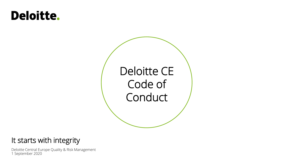# **Deloitte.**



# It starts with integrity

Deloitte Central Europe Quality & Risk Management 1 September 2020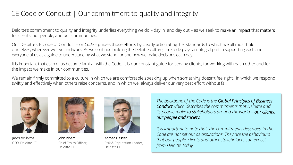# CE Code of Conduct | Our commitment to quality and integrity

Deloitte's commitment to quality and integrity underlies everything we do – day in and day out – as we seek to make an impact that matters for clients, our people, and our communities.

Our Deloitte CE Code of Conduct – or *Code* – guides those efforts by clearly articulatingthe standards to which we all must hold ourselves, wherever we live andwork. As we continue building the Deloitte culture, the Code plays an integral part in supporting each and everyone of us as a guide to understanding what we stand for and how we make decisions each day.

It is important that each of us become familiar with the Code. It is our constant guide for serving clients, for working with each other and for the impact we make in our communities.

We remain firmly committed to a culture in which we are comfortable speaking up when something doesn't feelright, in which we respond swiftly and effectively when others raise concerns, and in which we always deliver our very best effort withoutfail.



Jaroslav Skvrna CEO, Deloitte CE



John Ploem Chief Ethics Officer, Deloitte CE



Ahmed Hassan Risk & Reputation Leader, Deloitte CE

*The backbone of the Code is the Global Principles of Business Conduct which describes the commitments that Deloitte and its people make to stakeholders around the world – our clients, our people and society.*

*It is important to note that the commitments described in the Code are not set out as aspirations. They are the behaviours that our people, clients and other stakeholders can expect from Deloitte today.*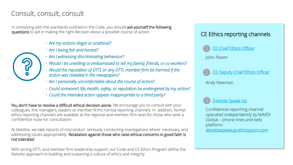## Consult, consult, consult

In complying with the standards outlined in the Code, you should ask yourself the following questions to aid in making the right decision about a possible course of action:

- *Are my actions illegal or unethical?*
- *Am I being fair and honest?*
- *Am I witnessing discriminating behaviour?*
- *Would I be unwilling or embarrassed to tell my family, friends, or co-workers?*
- *Would the reputation of DTTL or any DTTL member firm be harmed if the action was revealed in the newspapers?*
- *Am I personally uncomfortable about the course of action?*
- *Could someone's life, health, safety, or reputation be endangered by my action?*
- *Could the intended action appear inappropriate to a third party?*

You don't have to resolve a difficult ethical decision alone. We encourage you to consult with your colleagues, line managers, leaders or member firm's normal reporting channels. In addition, formal ethics reporting channels are available at the regional and member firm level for those who seek a confidential route for consultation.

At Deloitte, we take reports of misconduct seriously, conducting investigations where necessary, and addressing issues appropriately. Retaliation against those who raise ethical concerns in good faith is not tolerated

With strong DTTL and member firm leadership support, our Code and CE Ethics Program define the Deloitte approach to building and sustaining a culture of ethics and integrity.





John Ploem



Andy Newman



Confidential reporting channel operated independently by NAVEX Global – phone lines and web platform: [deloittespeakup.ethicspoint.com](https://secure.ethicspoint.eu/domain/media/en/gui/104668/index.html)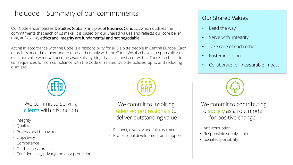# The Code | Summary of our commitments

Our Code encompasses Deloitte's Global Principles of Business Conduct, which outlines the commitments that each of us make. It is based on our Shared Values and reflects our core belief that, at Deloitte, ethics and integrity are fundamental and not negotiable.

Acting in accordance with the Code is a responsibility for all Deloitte people in Central Europe. Each of us is expected to know, understand and comply with the Code. We also have a responsibility to raise our voice when we become aware of anything that is inconsistent with it. There can be serious consequences for non-compliance with the Code or related Deloitte policies, up to and including dismissal.



We commit to serving clients with distinction

- Integrity
- Quality
- Professional behaviour
- Objectivity
- Competence
- Fair business practices
- Confidentiality, privacy and data protection



We commit to inspiring talented professionals to deliver outstanding value

- Respect, diversity and fair treatment
- Professional development and support

### Our Shared Values

- Lead the way
- Serve with integrity
- Take care of each other
- Foster inclusion
- Collaborate for measurable impact



We commit to contributing to society as a role model for positive change

- Anti-corruption
- Responsible supply chain
- Social responsibility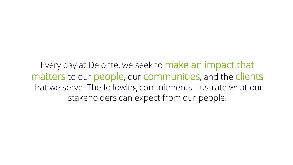Every day at Deloitte, we seek to **make an impact that** matters to our people, our communities, and the clients that we serve. The following commitments illustrate what our stakeholders can expect from our people.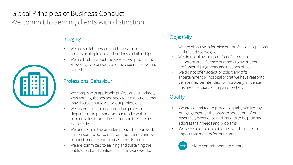# Global Principles of Business Conduct We commit to serving clients with distinction

### **Integrity**

- We are straightforward and honest in our professional opinions and business relationships.
- We are truthful about the services we provide, the knowledge we possess, and the experience we have gained.

### Professional Behaviour

- We comply with applicable professional standards, laws and regulations and seek to avoid actions that may discredit ourselves or our professions.
- We foster a culture of appropriate professional skepticism and personal accountability which supports clients and drives quality in the services we provide.
- We understand the broader impact that our work has on society, our people, and our clients, and we conduct business with those interests in mind.
- We are committed to earning and sustaining the public's trust and confidence in the work we do.

### **Objectivity**

- We are objective in forming our professional opinions and the advice wegive.
- We do not allow bias, conflict of interest, or inappropriate influence of others to overrideour professional judgments and responsibilities.
- We do not offer, accept or solicit any gifts, entertainment or hospitality that we have reasonto believe may be intended to improperly influence business decisions or impairobjectivity.

### **Quality**

- We are committed to providing quality services by bringing together the breadth and depth of our resources, experience and insights to help clients address their needs and problems.
- We strive to develop outcomes which create an impact that matters for our clients.



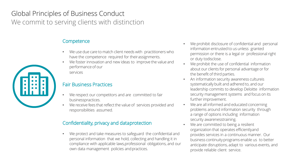# Global Principles of Business Conduct We commit to serving clients with distinction

### **Competence**

- We use due care to match client needs with practitioners who have the competence required for theirassignments.
- We foster innovation and new ideas to improve the value and performance of our services

### Fair Business Practices

- We respect our competitors and are committed to fair businesspractices.
- We receive fees that reflect the value of services provided and responsibilities assumed.

#### Confidentiality, privacy and dataprotection

We protect and take measures to safeguard the confidential and personal information that we hold, collecting and handling it in compliance with applicable laws,professional obligations, and our own data management policies andpractices.

- We prohibit disclosure of confidential and personal information entrusted to us unless granted permission or there is a legal or professional right or duty todisclose.
- We prohibit the use of confidential information about our clients for personal advantage or for the benefit of third parties.
- An information security awareness cultureis systematically built and adhered to, and our leadership commits to develop Deloitte information security management systems and focus on its further improvement.
- We are all informed and educated concerning problems around information security through a range of options including information security awarenesstraining.
- We are committed to being a resilient organization that operates efficientlyand provides services in a continuous manner. Our business continuityprograms enable us to better anticipate disruptions, adapt to various events, and provide reliable client service.

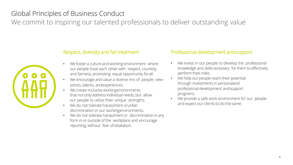# Global Principles of Business Conduct

We commit to inspiring our talented professionals to deliver outstanding value



#### Respect, diversity and fairtreatment

- We foster a culture and working environment where our people treat each other with respect, courtesy and fairness, promoting equal opportunity forall.
- We encourage and value a diverse mix of people, viewpoints, talents, andexperiences.
- We create inclusive workingenvironments that not only address individual needs, but allow our people to utilize their unique strengths.
- We do not tolerate harassment orunfair discrimination in our workingenvironments.
- We do not tolerate harassment or discrimination in any form in or outside of the workplace and encourage reporting, without fear ofretaliation.

#### Professional development andsupport

- We invest in our people to develop the professional knowledge and skillsnecessary for them to effectively perform their roles.
- We help our people reach their potential through investments in personaland professional development andsupport programs.
- We provide a safe work environment for our people and expect our clients to do the same.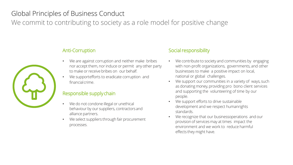# Global Principles of Business Conduct

We commit to contributing to society as a role model for positive change



#### Anti-Corruption

- We are against corruption and neither make bribes nor accept them, nor induce or permit any other party to make orreceive bribes on our behalf.
- We supportefforts to eradicate corruption and financialcrime.

#### Responsible supplychain

- We do not condone illegal or unethical behaviour by our suppliers, contractorsand alliance partners.
- We select suppliers through fair procurement processes.

#### Social responsibility

- We contribute to society and communities by engaging with non-profit organizations, governments, and other businesses to make a positive impact on local, national or global challenges.
- We support our communities in a variety of ways, such as donating money, providing pro bono client services and supporting the volunteering of time by our people.
- We support efforts to drive sustainable development and we respect humanrights standards.
- We recognize that our businessoperations and our provision of services may at times impact the environment and we work to reduce harmful effects they might have.